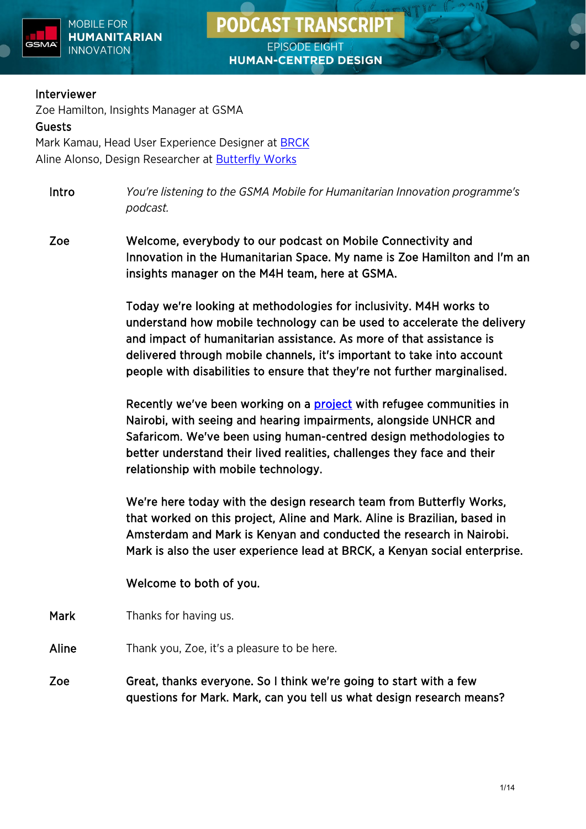





#### Interviewer

Zoe Hamilton, Insights Manager at GSMA Guests Mark Kamau, Head User Experience Designer at [BRCK](https://www.brck.com/) Aline Alonso, Design Researcher at [Butterfly Works](https://www.butterflyworks.org/)

Intro *You're listening to the GSMA Mobile for Humanitarian Innovation programme's podcast.*

Zoe Welcome, everybody to our podcast on Mobile Connectivity and Innovation in the Humanitarian Space. My name is Zoe Hamilton and I'm an insights manager on the M4H team, here at GSMA.

> Today we're looking at methodologies for inclusivity. M4H works to understand how mobile technology can be used to accelerate the delivery and impact of humanitarian assistance. As more of that assistance is delivered through mobile channels, it's important to take into account people with disabilities to ensure that they're not further marginalised.

Recently we've been working on a [project](https://www.gsma.com/mobilefordevelopment/resources/the-digital-lives-of-refugees-and-kenyans-with-disabilities/) with refugee communities in Nairobi, with seeing and hearing impairments, alongside UNHCR and Safaricom. We've been using human-centred design methodologies to better understand their lived realities, challenges they face and their relationship with mobile technology.

We're here today with the design research team from Butterfly Works, that worked on this project, Aline and Mark. Aline is Brazilian, based in Amsterdam and Mark is Kenyan and conducted the research in Nairobi. Mark is also the user experience lead at BRCK, a Kenyan social enterprise.

Welcome to both of you.

Mark Thanks for having us.

- Aline Thank you, Zoe, it's a pleasure to be here.
- Zoe Great, thanks everyone. So I think we're going to start with a few questions for Mark. Mark, can you tell us what design research means?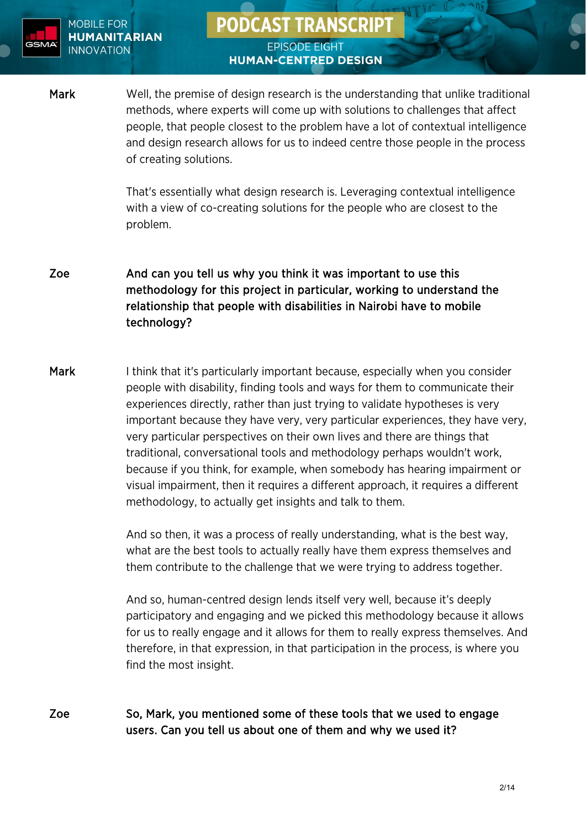

# **PODCAST TRANSCRIPT EPISODE EIGHT**

**HUMAN-CENTRED DESIGN** 

Mark Well, the premise of design research is the understanding that unlike traditional methods, where experts will come up with solutions to challenges that affect people, that people closest to the problem have a lot of contextual intelligence and design research allows for us to indeed centre those people in the process of creating solutions.

> That's essentially what design research is. Leveraging contextual intelligence with a view of co-creating solutions for the people who are closest to the problem.

Zoe And can you tell us why you think it was important to use this methodology for this project in particular, working to understand the relationship that people with disabilities in Nairobi have to mobile technology?

Mark I think that it's particularly important because, especially when you consider people with disability, finding tools and ways for them to communicate their experiences directly, rather than just trying to validate hypotheses is very important because they have very, very particular experiences, they have very, very particular perspectives on their own lives and there are things that traditional, conversational tools and methodology perhaps wouldn't work, because if you think, for example, when somebody has hearing impairment or visual impairment, then it requires a different approach, it requires a different methodology, to actually get insights and talk to them.

> And so then, it was a process of really understanding, what is the best way, what are the best tools to actually really have them express themselves and them contribute to the challenge that we were trying to address together.

And so, human-centred design lends itself very well, because it's deeply participatory and engaging and we picked this methodology because it allows for us to really engage and it allows for them to really express themselves. And therefore, in that expression, in that participation in the process, is where you find the most insight.

Zoe So, Mark, you mentioned some of these tools that we used to engage users. Can you tell us about one of them and why we used it?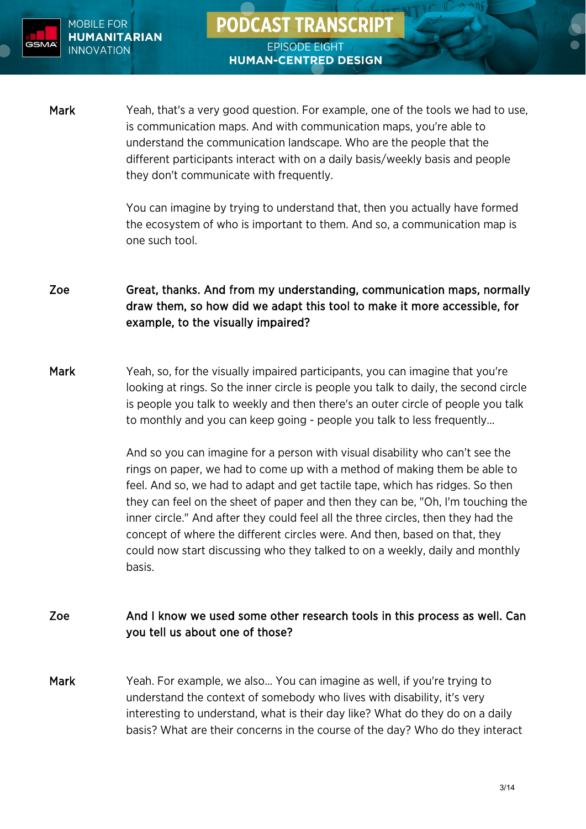

Mark Yeah, that's a very good question. For example, one of the tools we had to use, is communication maps. And with communication maps, you're able to understand the communication landscape. Who are the people that the different participants interact with on a daily basis/weekly basis and people they don't communicate with frequently.

**PODCAST TRANSCRIPT** 

**EPISODE EIGHT** 

**HUMAN-CENTRED DESIGN** 

You can imagine by trying to understand that, then you actually have formed the ecosystem of who is important to them. And so, a communication map is one such tool.

Zoe Great, thanks. And from my understanding, communication maps, normally draw them, so how did we adapt this tool to make it more accessible, for example, to the visually impaired?

Mark Yeah, so, for the visually impaired participants, you can imagine that you're looking at rings. So the inner circle is people you talk to daily, the second circle is people you talk to weekly and then there's an outer circle of people you talk to monthly and you can keep going - people you talk to less frequently…

> And so you can imagine for a person with visual disability who can't see the rings on paper, we had to come up with a method of making them be able to feel. And so, we had to adapt and get tactile tape, which has ridges. So then they can feel on the sheet of paper and then they can be, "Oh, I'm touching the inner circle." And after they could feel all the three circles, then they had the concept of where the different circles were. And then, based on that, they could now start discussing who they talked to on a weekly, daily and monthly basis.

## Zoe And I know we used some other research tools in this process as well. Can you tell us about one of those?

Mark Yeah. For example, we also... You can imagine as well, if you're trying to understand the context of somebody who lives with disability, it's very interesting to understand, what is their day like? What do they do on a daily basis? What are their concerns in the course of the day? Who do they interact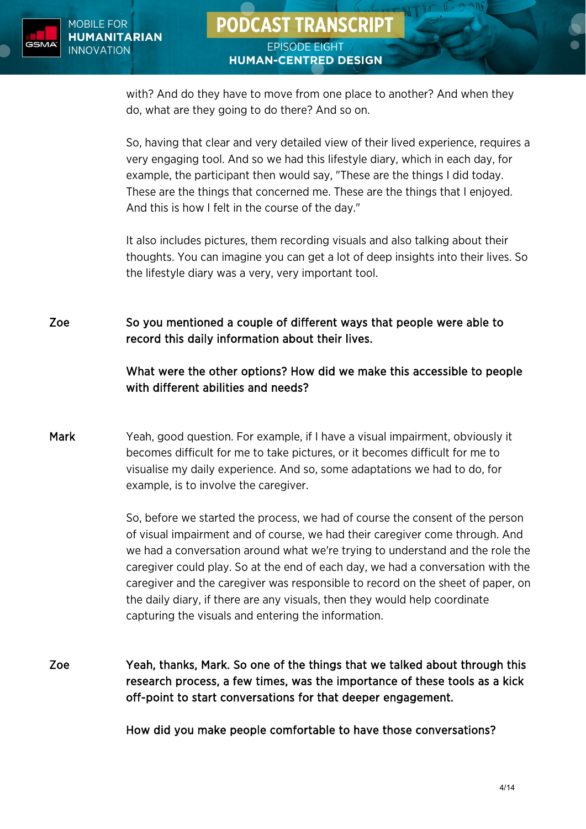

# **PODCAST TRANSCRIPT EPISODE EIGHT HUMAN-CENTRED DESIGN**

with? And do they have to move from one place to another? And when they do, what are they going to do there? And so on.

So, having that clear and very detailed view of their lived experience, requires a very engaging tool. And so we had this lifestyle diary, which in each day, for example, the participant then would say, "These are the things I did today. These are the things that concerned me. These are the things that I enjoyed. And this is how I felt in the course of the day."

It also includes pictures, them recording visuals and also talking about their thoughts. You can imagine you can get a lot of deep insights into their lives. So the lifestyle diary was a very, very important tool.

Zoe So you mentioned a couple of different ways that people were able to record this daily information about their lives.

## What were the other options? How did we make this accessible to people with different abilities and needs?

Mark Yeah, good question. For example, if I have a visual impairment, obviously it becomes difficult for me to take pictures, or it becomes difficult for me to visualise my daily experience. And so, some adaptations we had to do, for example, is to involve the caregiver.

> So, before we started the process, we had of course the consent of the person of visual impairment and of course, we had their caregiver come through. And we had a conversation around what we're trying to understand and the role the caregiver could play. So at the end of each day, we had a conversation with the caregiver and the caregiver was responsible to record on the sheet of paper, on the daily diary, if there are any visuals, then they would help coordinate capturing the visuals and entering the information.

Zoe Yeah, thanks, Mark. So one of the things that we talked about through this research process, a few times, was the importance of these tools as a kick off-point to start conversations for that deeper engagement.

How did you make people comfortable to have those conversations?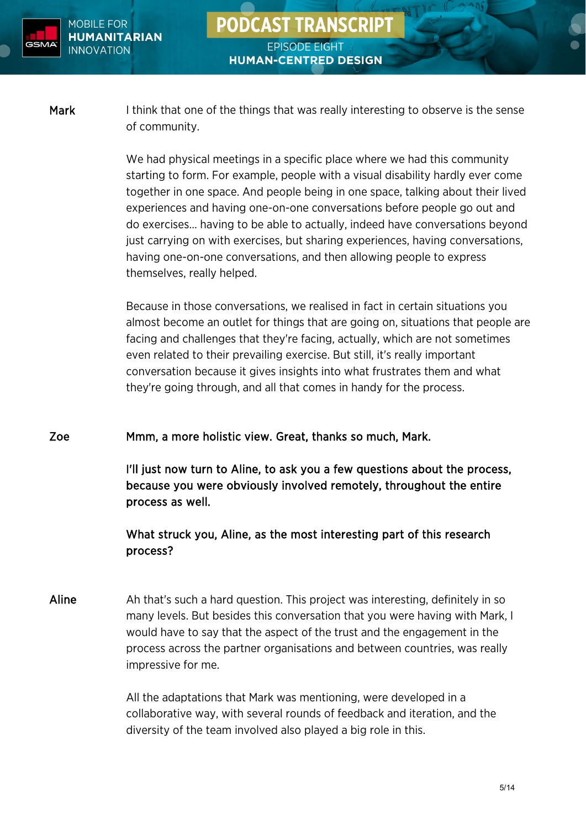

Mark I think that one of the things that was really interesting to observe is the sense of community.

> We had physical meetings in a specific place where we had this community starting to form. For example, people with a visual disability hardly ever come together in one space. And people being in one space, talking about their lived experiences and having one-on-one conversations before people go out and do exercises… having to be able to actually, indeed have conversations beyond just carrying on with exercises, but sharing experiences, having conversations, having one-on-one conversations, and then allowing people to express themselves, really helped.

> Because in those conversations, we realised in fact in certain situations you almost become an outlet for things that are going on, situations that people are facing and challenges that they're facing, actually, which are not sometimes even related to their prevailing exercise. But still, it's really important conversation because it gives insights into what frustrates them and what they're going through, and all that comes in handy for the process.

Zoe Mmm, a more holistic view. Great, thanks so much, Mark.

I'll just now turn to Aline, to ask you a few questions about the process, because you were obviously involved remotely, throughout the entire process as well.

What struck you, Aline, as the most interesting part of this research process?

Aline Ah that's such a hard question. This project was interesting, definitely in so many levels. But besides this conversation that you were having with Mark, I would have to say that the aspect of the trust and the engagement in the process across the partner organisations and between countries, was really impressive for me.

> All the adaptations that Mark was mentioning, were developed in a collaborative way, with several rounds of feedback and iteration, and the diversity of the team involved also played a big role in this.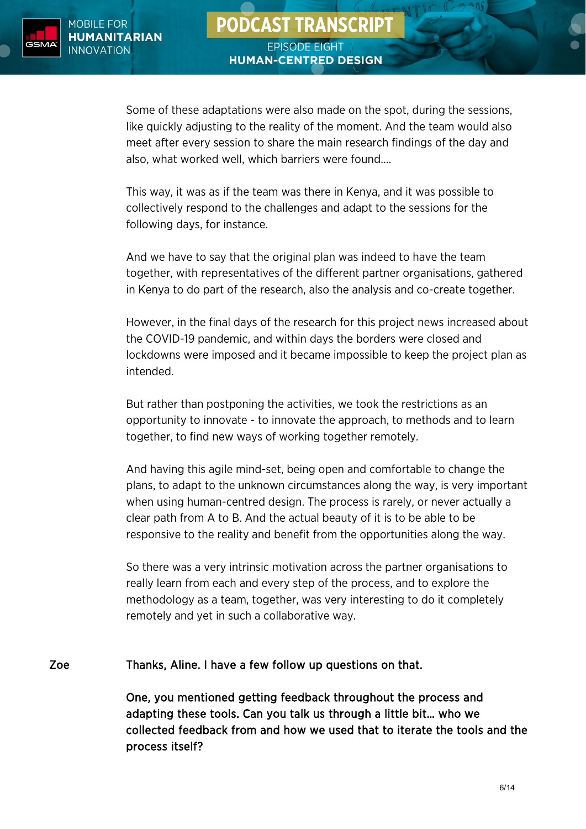

Some of these adaptations were also made on the spot, during the sessions, like quickly adjusting to the reality of the moment. And the team would also meet after every session to share the main research findings of the day and also, what worked well, which barriers were found….

This way, it was as if the team was there in Kenya, and it was possible to collectively respond to the challenges and adapt to the sessions for the following days, for instance.

And we have to say that the original plan was indeed to have the team together, with representatives of the different partner organisations, gathered in Kenya to do part of the research, also the analysis and co-create together.

However, in the final days of the research for this project news increased about the COVID-19 pandemic, and within days the borders were closed and lockdowns were imposed and it became impossible to keep the project plan as intended.

But rather than postponing the activities, we took the restrictions as an opportunity to innovate - to innovate the approach, to methods and to learn together, to find new ways of working together remotely.

And having this agile mind-set, being open and comfortable to change the plans, to adapt to the unknown circumstances along the way, is very important when using human-centred design. The process is rarely, or never actually a clear path from A to B. And the actual beauty of it is to be able to be responsive to the reality and benefit from the opportunities along the way.

So there was a very intrinsic motivation across the partner organisations to really learn from each and every step of the process, and to explore the methodology as a team, together, was very interesting to do it completely remotely and yet in such a collaborative way.

#### Zoe Thanks, Aline. I have a few follow up questions on that.

One, you mentioned getting feedback throughout the process and adapting these tools. Can you talk us through a little bit… who we collected feedback from and how we used that to iterate the tools and the process itself?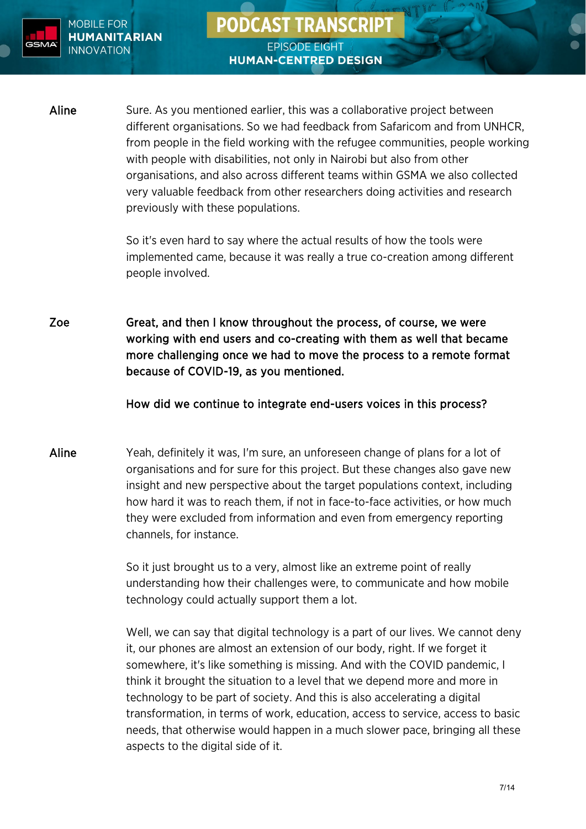

# Aline Sure. As you mentioned earlier, this was a collaborative project between different organisations. So we had feedback from Safaricom and from UNHCR, from people in the field working with the refugee communities, people working with people with disabilities, not only in Nairobi but also from other organisations, and also across different teams within GSMA we also collected very valuable feedback from other researchers doing activities and research previously with these populations.

**PODCAST TRANSCRIPT** 

**EPISODE EIGHT** 

**HUMAN-CENTRED DESIGN** 

So it's even hard to say where the actual results of how the tools were implemented came, because it was really a true co-creation among different people involved.

Zoe Great, and then I know throughout the process, of course, we were working with end users and co-creating with them as well that became more challenging once we had to move the process to a remote format because of COVID-19, as you mentioned.

#### How did we continue to integrate end-users voices in this process?

Aline Yeah, definitely it was, I'm sure, an unforeseen change of plans for a lot of organisations and for sure for this project. But these changes also gave new insight and new perspective about the target populations context, including how hard it was to reach them, if not in face-to-face activities, or how much they were excluded from information and even from emergency reporting channels, for instance.

> So it just brought us to a very, almost like an extreme point of really understanding how their challenges were, to communicate and how mobile technology could actually support them a lot.

Well, we can say that digital technology is a part of our lives. We cannot deny it, our phones are almost an extension of our body, right. If we forget it somewhere, it's like something is missing. And with the COVID pandemic, I think it brought the situation to a level that we depend more and more in technology to be part of society. And this is also accelerating a digital transformation, in terms of work, education, access to service, access to basic needs, that otherwise would happen in a much slower pace, bringing all these aspects to the digital side of it.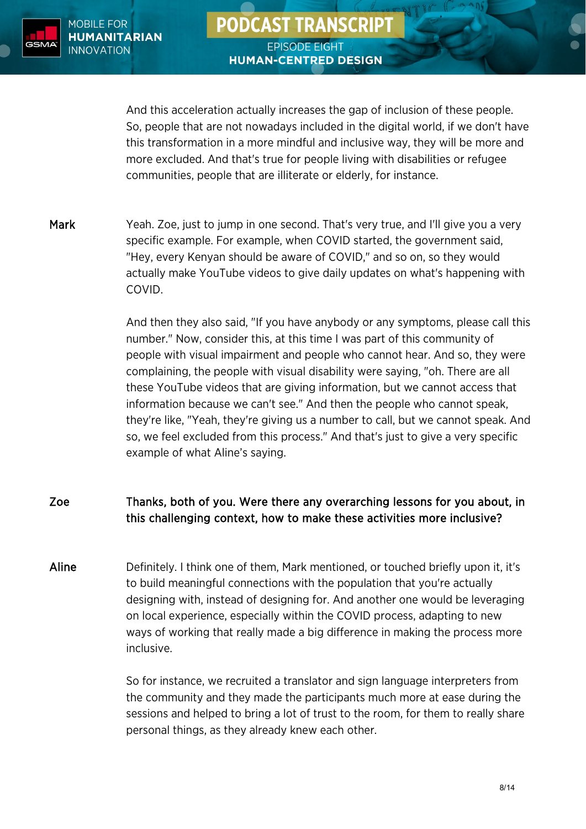

And this acceleration actually increases the gap of inclusion of these people. So, people that are not nowadays included in the digital world, if we don't have this transformation in a more mindful and inclusive way, they will be more and more excluded. And that's true for people living with disabilities or refugee communities, people that are illiterate or elderly, for instance.

Mark Yeah. Zoe, just to jump in one second. That's very true, and I'll give you a very specific example. For example, when COVID started, the government said, "Hey, every Kenyan should be aware of COVID," and so on, so they would actually make YouTube videos to give daily updates on what's happening with COVID.

> And then they also said, "If you have anybody or any symptoms, please call this number." Now, consider this, at this time I was part of this community of people with visual impairment and people who cannot hear. And so, they were complaining, the people with visual disability were saying, "oh. There are all these YouTube videos that are giving information, but we cannot access that information because we can't see." And then the people who cannot speak, they're like, "Yeah, they're giving us a number to call, but we cannot speak. And so, we feel excluded from this process." And that's just to give a very specific example of what Aline's saying.

# Zoe Thanks, both of you. Were there any overarching lessons for you about, in this challenging context, how to make these activities more inclusive?

Aline Definitely. I think one of them, Mark mentioned, or touched briefly upon it, it's to build meaningful connections with the population that you're actually designing with, instead of designing for. And another one would be leveraging on local experience, especially within the COVID process, adapting to new ways of working that really made a big difference in making the process more inclusive.

> So for instance, we recruited a translator and sign language interpreters from the community and they made the participants much more at ease during the sessions and helped to bring a lot of trust to the room, for them to really share personal things, as they already knew each other.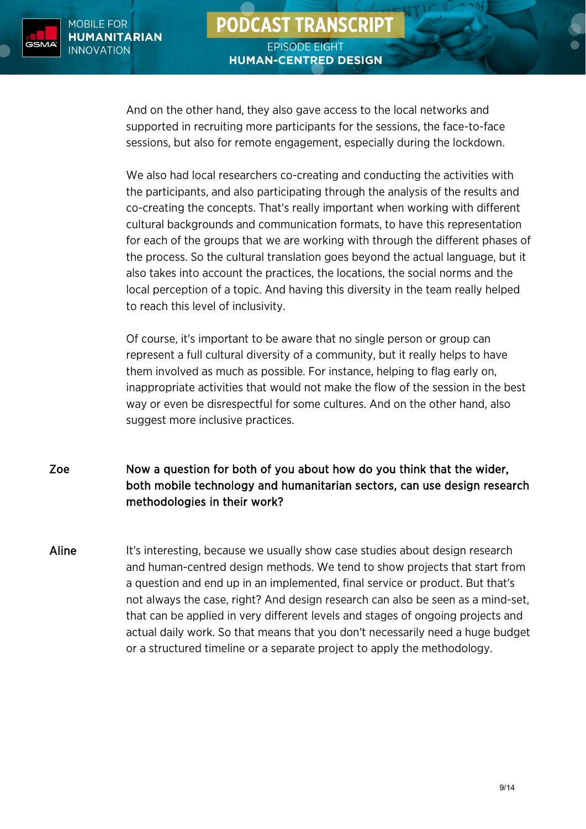

# **PODCAST TRANSCRIPT EPISODE EIGHT HUMAN-CENTRED DESIGN**

And on the other hand, they also gave access to the local networks and supported in recruiting more participants for the sessions, the face-to-face sessions, but also for remote engagement, especially during the lockdown.

We also had local researchers co-creating and conducting the activities with the participants, and also participating through the analysis of the results and co-creating the concepts. That's really important when working with different cultural backgrounds and communication formats, to have this representation for each of the groups that we are working with through the different phases of the process. So the cultural translation goes beyond the actual language, but it also takes into account the practices, the locations, the social norms and the local perception of a topic. And having this diversity in the team really helped to reach this level of inclusivity.

Of course, it's important to be aware that no single person or group can represent a full cultural diversity of a community, but it really helps to have them involved as much as possible. For instance, helping to flag early on, inappropriate activities that would not make the flow of the session in the best way or even be disrespectful for some cultures. And on the other hand, also suggest more inclusive practices.

- Zoe Now a question for both of you about how do you think that the wider, both mobile technology and humanitarian sectors, can use design research methodologies in their work?
- Aline It's interesting, because we usually show case studies about design research and human-centred design methods. We tend to show projects that start from a question and end up in an implemented, final service or product. But that's not always the case, right? And design research can also be seen as a mind-set, that can be applied in very different levels and stages of ongoing projects and actual daily work. So that means that you don't necessarily need a huge budget or a structured timeline or a separate project to apply the methodology.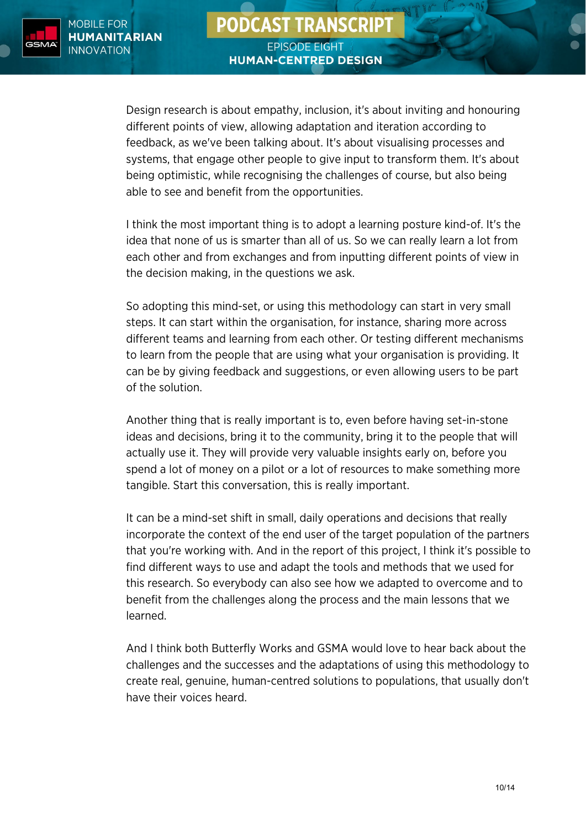

Design research is about empathy, inclusion, it's about inviting and honouring different points of view, allowing adaptation and iteration according to feedback, as we've been talking about. It's about visualising processes and systems, that engage other people to give input to transform them. It's about being optimistic, while recognising the challenges of course, but also being able to see and benefit from the opportunities.

I think the most important thing is to adopt a learning posture kind-of. It's the idea that none of us is smarter than all of us. So we can really learn a lot from each other and from exchanges and from inputting different points of view in the decision making, in the questions we ask.

So adopting this mind-set, or using this methodology can start in very small steps. It can start within the organisation, for instance, sharing more across different teams and learning from each other. Or testing different mechanisms to learn from the people that are using what your organisation is providing. It can be by giving feedback and suggestions, or even allowing users to be part of the solution.

Another thing that is really important is to, even before having set-in-stone ideas and decisions, bring it to the community, bring it to the people that will actually use it. They will provide very valuable insights early on, before you spend a lot of money on a pilot or a lot of resources to make something more tangible. Start this conversation, this is really important.

It can be a mind-set shift in small, daily operations and decisions that really incorporate the context of the end user of the target population of the partners that you're working with. And in the report of this project, I think it's possible to find different ways to use and adapt the tools and methods that we used for this research. So everybody can also see how we adapted to overcome and to benefit from the challenges along the process and the main lessons that we learned.

And I think both Butterfly Works and GSMA would love to hear back about the challenges and the successes and the adaptations of using this methodology to create real, genuine, human-centred solutions to populations, that usually don't have their voices heard.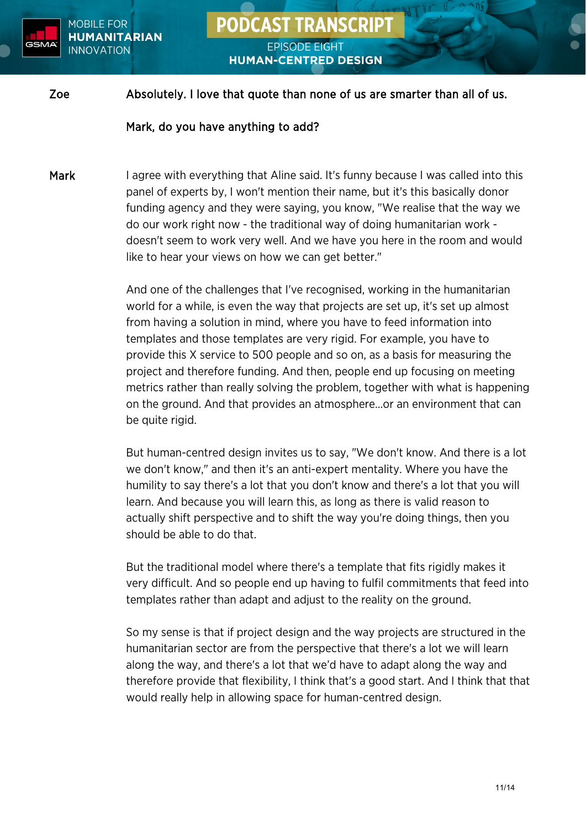

# **PODCAST TRANSCRIPT EPISODE EIGHT**

**HUMAN-CENTRED DESIGN** 

#### Zoe Absolutely. I love that quote than none of us are smarter than all of us.

#### Mark, do you have anything to add?

Mark I agree with everything that Aline said. It's funny because I was called into this panel of experts by, I won't mention their name, but it's this basically donor funding agency and they were saying, you know, "We realise that the way we do our work right now - the traditional way of doing humanitarian work doesn't seem to work very well. And we have you here in the room and would like to hear your views on how we can get better."

> And one of the challenges that I've recognised, working in the humanitarian world for a while, is even the way that projects are set up, it's set up almost from having a solution in mind, where you have to feed information into templates and those templates are very rigid. For example, you have to provide this X service to 500 people and so on, as a basis for measuring the project and therefore funding. And then, people end up focusing on meeting metrics rather than really solving the problem, together with what is happening on the ground. And that provides an atmosphere…or an environment that can be quite rigid.

> But human-centred design invites us to say, "We don't know. And there is a lot we don't know," and then it's an anti-expert mentality. Where you have the humility to say there's a lot that you don't know and there's a lot that you will learn. And because you will learn this, as long as there is valid reason to actually shift perspective and to shift the way you're doing things, then you should be able to do that.

> But the traditional model where there's a template that fits rigidly makes it very difficult. And so people end up having to fulfil commitments that feed into templates rather than adapt and adjust to the reality on the ground.

> So my sense is that if project design and the way projects are structured in the humanitarian sector are from the perspective that there's a lot we will learn along the way, and there's a lot that we'd have to adapt along the way and therefore provide that flexibility, I think that's a good start. And I think that that would really help in allowing space for human-centred design.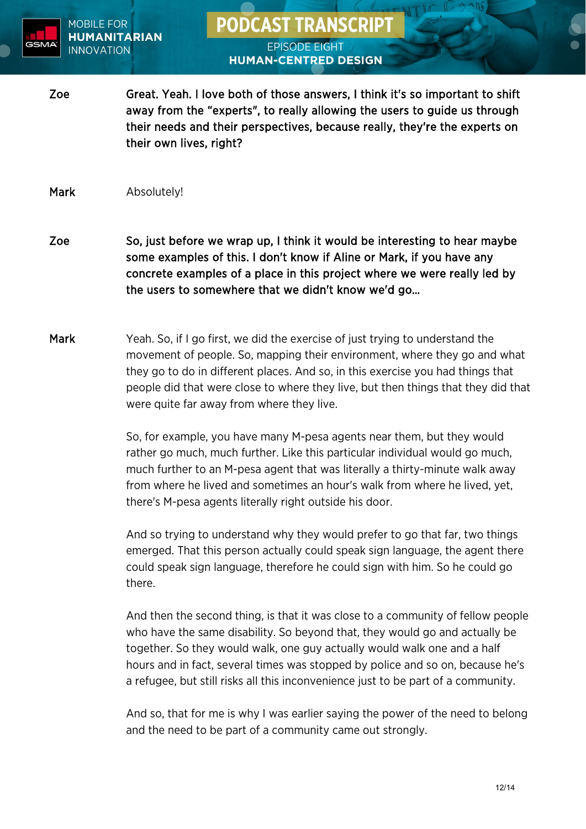

# **PODCAST TRANSCRIPT**

#### **EPISODE EIGHT HUMAN-CENTRED DESIGN**

Zoe Great. Yeah. I love both of those answers, I think it's so important to shift away from the "experts", to really allowing the users to guide us through their needs and their perspectives, because really, they're the experts on their own lives, right?

Mark Absolutely!

- Zoe So, just before we wrap up, I think it would be interesting to hear maybe some examples of this. I don't know if Aline or Mark, if you have any concrete examples of a place in this project where we were really led by the users to somewhere that we didn't know we'd go…
- Mark Yeah. So, if I go first, we did the exercise of just trying to understand the movement of people. So, mapping their environment, where they go and what they go to do in different places. And so, in this exercise you had things that people did that were close to where they live, but then things that they did that were quite far away from where they live.

So, for example, you have many M-pesa agents near them, but they would rather go much, much further. Like this particular individual would go much, much further to an M-pesa agent that was literally a thirty-minute walk away from where he lived and sometimes an hour's walk from where he lived, yet, there's M-pesa agents literally right outside his door.

And so trying to understand why they would prefer to go that far, two things emerged. That this person actually could speak sign language, the agent there could speak sign language, therefore he could sign with him. So he could go there.

And then the second thing, is that it was close to a community of fellow people who have the same disability. So beyond that, they would go and actually be together. So they would walk, one guy actually would walk one and a half hours and in fact, several times was stopped by police and so on, because he's a refugee, but still risks all this inconvenience just to be part of a community.

And so, that for me is why I was earlier saying the power of the need to belong and the need to be part of a community came out strongly.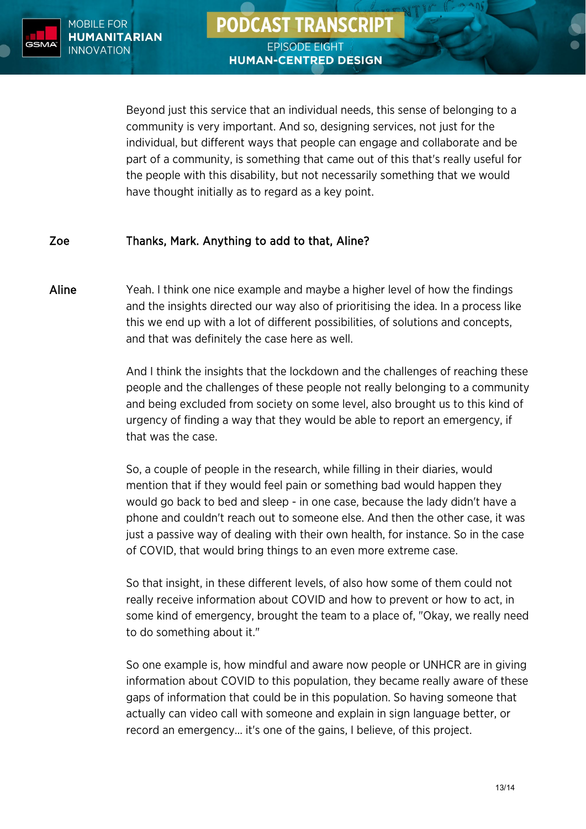

Beyond just this service that an individual needs, this sense of belonging to a community is very important. And so, designing services, not just for the individual, but different ways that people can engage and collaborate and be part of a community, is something that came out of this that's really useful for the people with this disability, but not necessarily something that we would have thought initially as to regard as a key point.

### Zoe Thanks, Mark. Anything to add to that, Aline?

Aline Yeah. I think one nice example and maybe a higher level of how the findings and the insights directed our way also of prioritising the idea. In a process like this we end up with a lot of different possibilities, of solutions and concepts, and that was definitely the case here as well.

> And I think the insights that the lockdown and the challenges of reaching these people and the challenges of these people not really belonging to a community and being excluded from society on some level, also brought us to this kind of urgency of finding a way that they would be able to report an emergency, if that was the case.

So, a couple of people in the research, while filling in their diaries, would mention that if they would feel pain or something bad would happen they would go back to bed and sleep - in one case, because the lady didn't have a phone and couldn't reach out to someone else. And then the other case, it was just a passive way of dealing with their own health, for instance. So in the case of COVID, that would bring things to an even more extreme case.

So that insight, in these different levels, of also how some of them could not really receive information about COVID and how to prevent or how to act, in some kind of emergency, brought the team to a place of, "Okay, we really need to do something about it."

So one example is, how mindful and aware now people or UNHCR are in giving information about COVID to this population, they became really aware of these gaps of information that could be in this population. So having someone that actually can video call with someone and explain in sign language better, or record an emergency… it's one of the gains, I believe, of this project.